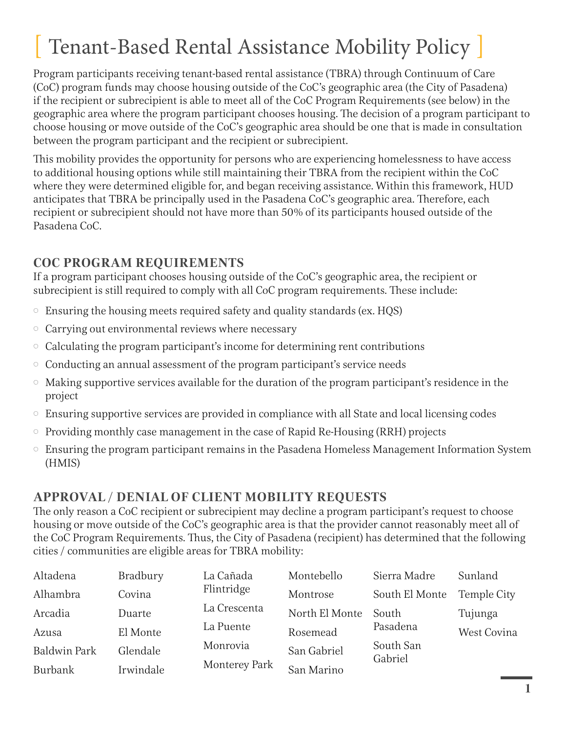## Tenant-Based Rental Assistance Mobility Policy

Program participants receiving tenant-based rental assistance (TBRA) through Continuum of Care (CoC) program funds may choose housing outside of the CoC's geographic area (the City of Pasadena) if the recipient or subrecipient is able to meet all of the CoC Program Requirements (see below) in the geographic area where the program participant chooses housing. The decision of a program participant to choose housing or move outside of the CoC's geographic area should be one that is made in consultation between the program participant and the recipient or subrecipient.

This mobility provides the opportunity for persons who are experiencing homelessness to have access to additional housing options while still maintaining their TBRA from the recipient within the CoC where they were determined eligible for, and began receiving assistance. Within this framework, HUD anticipates that TBRA be principally used in the Pasadena CoC's geographic area. Therefore, each recipient or subrecipient should not have more than 50% of its participants housed outside of the Pasadena CoC.

## **COC PROGRAM REQUIREMENTS**

If a program participant chooses housing outside of the CoC's geographic area, the recipient or subrecipient is still required to comply with all CoC program requirements. These include:

- $\circ$  Ensuring the housing meets required safety and quality standards (ex. HQS)
- $\circ$  Carrying out environmental reviews where necessary
- $\circ$  Calculating the program participant's income for determining rent contributions
- $\circ$  Conducting an annual assessment of the program participant's service needs
- $\circ$  Making supportive services available for the duration of the program participant's residence in the project
- $\circ$  Ensuring supportive services are provided in compliance with all State and local licensing codes
- $\circ$  Providing monthly case management in the case of Rapid Re-Housing (RRH) projects
- $\circ$  Ensuring the program participant remains in the Pasadena Homeless Management Information System (HMIS)

## **APPROVAL / DENIAL OF CLIENT MOBILITY REQUESTS**

The only reason a CoC recipient or subrecipient may decline a program participant's request to choose housing or move outside of the CoC's geographic area is that the provider cannot reasonably meet all of the CoC Program Requirements. Thus, the City of Pasadena (recipient) has determined that the following cities / communities are eligible areas for TBRA mobility:

| Altadena            | Bradbury  | La Cañada     | Montebello     | Sierra Madre         | Sunland     |
|---------------------|-----------|---------------|----------------|----------------------|-------------|
| Alhambra            | Covina    | Flintridge    | Montrose       | South El Monte       | Temple City |
| Arcadia             | Duarte    | La Crescenta  | North El Monte | South                | Tujunga     |
| Azusa               | El Monte  | La Puente     | Rosemead       | Pasadena             | West Covina |
| <b>Baldwin Park</b> | Glendale  | Monrovia      | San Gabriel    | South San<br>Gabriel |             |
| Burbank             | Irwindale | Monterey Park | San Marino     |                      |             |